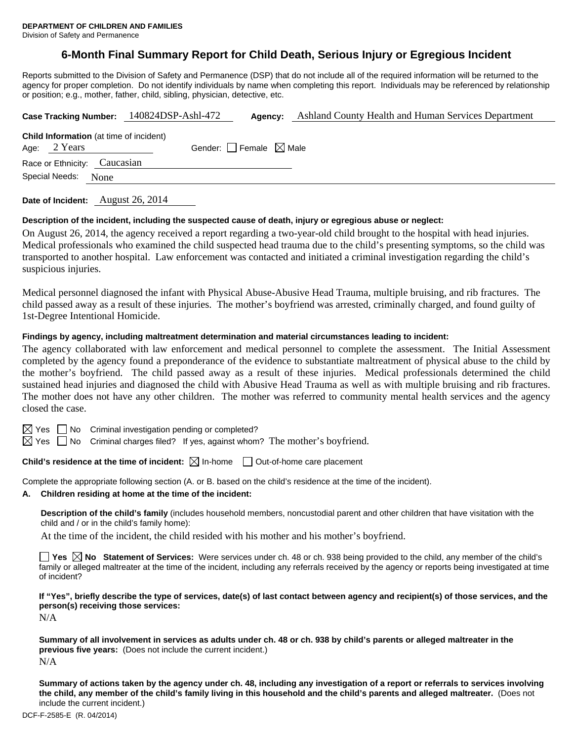# **6-Month Final Summary Report for Child Death, Serious Injury or Egregious Incident**

Reports submitted to the Division of Safety and Permanence (DSP) that do not include all of the required information will be returned to the agency for proper completion. Do not identify individuals by name when completing this report. Individuals may be referenced by relationship or position; e.g., mother, father, child, sibling, physician, detective, etc.

|                                                                  | Case Tracking Number: 140824DSP-Ashl-472 | Agency:                         | Ashland County Health and Human Services Department |
|------------------------------------------------------------------|------------------------------------------|---------------------------------|-----------------------------------------------------|
| <b>Child Information</b> (at time of incident)<br>Age: $2$ Years |                                          | Gender: Female $\boxtimes$ Male |                                                     |
| Race or Ethnicity: Caucasian                                     |                                          |                                 |                                                     |
| Special Needs:<br>None                                           |                                          |                                 |                                                     |
|                                                                  |                                          |                                 |                                                     |

**Date of Incident:** August 26, 2014

#### **Description of the incident, including the suspected cause of death, injury or egregious abuse or neglect:**

On August 26, 2014, the agency received a report regarding a two-year-old child brought to the hospital with head injuries. Medical professionals who examined the child suspected head trauma due to the child's presenting symptoms, so the child was transported to another hospital. Law enforcement was contacted and initiated a criminal investigation regarding the child's suspicious injuries.

Medical personnel diagnosed the infant with Physical Abuse-Abusive Head Trauma, multiple bruising, and rib fractures. The child passed away as a result of these injuries. The mother's boyfriend was arrested, criminally charged, and found guilty of 1st-Degree Intentional Homicide.

#### **Findings by agency, including maltreatment determination and material circumstances leading to incident:**

The agency collaborated with law enforcement and medical personnel to complete the assessment. The Initial Assessment completed by the agency found a preponderance of the evidence to substantiate maltreatment of physical abuse to the child by the mother's boyfriend. The child passed away as a result of these injuries. Medical professionals determined the child sustained head injuries and diagnosed the child with Abusive Head Trauma as well as with multiple bruising and rib fractures. The mother does not have any other children. The mother was referred to community mental health services and the agency closed the case.

 $\boxtimes$  Yes  $\Box$  No Criminal investigation pending or completed?

 $\boxtimes$  Yes  $\Box$  No Criminal charges filed? If yes, against whom? The mother's boyfriend.

**Child's residence at the time of incident:**  $\boxtimes$  In-home  $\Box$  Out-of-home care placement

Complete the appropriate following section (A. or B. based on the child's residence at the time of the incident).

**A. Children residing at home at the time of the incident:**

**Description of the child's family** (includes household members, noncustodial parent and other children that have visitation with the child and / or in the child's family home):

At the time of the incident, the child resided with his mother and his mother's boyfriend.

■ Yes **No** Statement of Services: Were services under ch. 48 or ch. 938 being provided to the child, any member of the child's family or alleged maltreater at the time of the incident, including any referrals received by the agency or reports being investigated at time of incident?

**If "Yes", briefly describe the type of services, date(s) of last contact between agency and recipient(s) of those services, and the person(s) receiving those services:** 

N/A

**Summary of all involvement in services as adults under ch. 48 or ch. 938 by child's parents or alleged maltreater in the previous five years:** (Does not include the current incident.) N/A

**Summary of actions taken by the agency under ch. 48, including any investigation of a report or referrals to services involving the child, any member of the child's family living in this household and the child's parents and alleged maltreater.** (Does not include the current incident.)